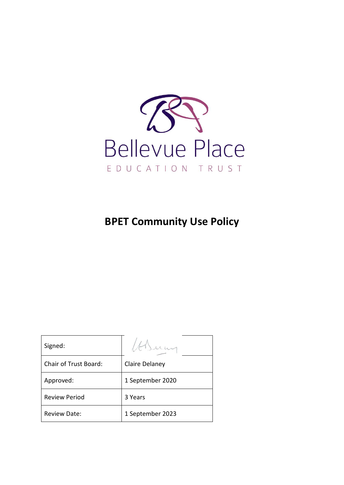

# **BPET Community Use Policy**

| Signed:                      |                  |
|------------------------------|------------------|
| <b>Chair of Trust Board:</b> | Claire Delaney   |
| Approved:                    | 1 September 2020 |
| <b>Review Period</b>         | 3 Years          |
| <b>Review Date:</b>          | 1 September 2023 |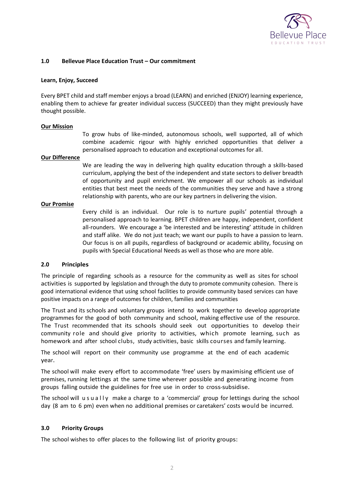

## **1.0 Bellevue Place Education Trust – Our commitment**

#### **Learn, Enjoy, Succeed**

Every BPET child and staff member enjoys a broad (LEARN) and enriched (ENJOY) learning experience, enabling them to achieve far greater individual success (SUCCEED) than they might previously have thought possible.

#### **Our Mission**

To grow hubs of like-minded, autonomous schools, well supported, all of which combine academic rigour with highly enriched opportunities that deliver a personalised approach to education and exceptional outcomes for all.

### **Our Difference**

We are leading the way in delivering high quality education through a skills-based curriculum, applying the best of the independent and state sectors to deliver breadth of opportunity and pupil enrichment. We empower all our schools as individual entities that best meet the needs of the communities they serve and have a strong relationship with parents, who are our key partners in delivering the vision.

### **Our Promise**

Every child is an individual. Our role is to nurture pupils' potential through a personalised approach to learning. BPET children are happy, independent, confident all-rounders. We encourage a 'be interested and be interesting' attitude in children and staff alike. We do not just teach; we want our pupils to have a passion to learn. Our focus is on all pupils, regardless of background or academic ability, focusing on pupils with Special Educational Needs as well as those who are more able.

# **2.0 Principles**

The principle of regarding schools as a resource for the community as well as sites for school activities is supported by legislation and through the duty to promote community cohesion. There is good international evidence that using school facilities to provide community based services can have positive impacts on a range of outcomes for children, families and communities

The Trust and its schools and voluntary groups intend to work together to develop appropriate programmes for the good of both community and school, making effective use of the resource. The Trust recommended that its schools should seek out opportunities to develop their community role and should give priority to activities, which promote learning, such as homework and after school clubs, study activities, basic skills courses and family learning.

The school will report on their community use programme at the end of each academic year.

The school will make every effort to accommodate 'free' users by maximising efficient use of premises, running lettings at the same time wherever possible and generating income from groups falling outside the guidelines for free use in order to cross-subsidise.

The school will u s u a l l y make a charge to a 'commercial' group for lettings during the school day (8 am to 6 pm) even when no additional premises or caretakers' costs would be incurred.

# **3.0 Priority Groups**

The school wishes to offer places to the following list of priority groups: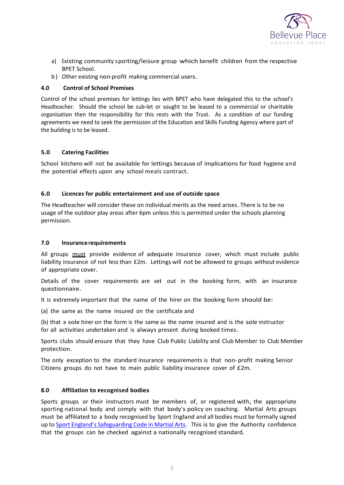

- a) Existing community sporting/leisure group which benefit children from the respective BPET School.
- b) Other existing non-profit making commercial users.

# **4.0 Control of School Premises**

Control of the school premises for lettings lies with BPET who have delegated this to the school's Headteacher. Should the school be sub-let or sought to be leased to a commercial or charitable organisation then the responsibility for this rests with the Trust. As a condition of our funding agreements we need to seek the permission of the Education and Skills Funding Agency where part of the building is to be leased.

# **5.0 Catering Facilities**

School kitchens will not be available for lettings because of implications for food hygiene and the potential effects upon any school meals contract.

# **6.0 Licences for public entertainment and use of outside space**

The Headteacher will consider these on individual merits as the need arises. There is to be no usage of the outdoor play areas after 6pm unless this is permitted under the schools planning permission.

# **7.0 Insurance requirements**

All groups must provide evidence of adequate insurance cover, which must include public liability insurance of not less than £2m. Lettings will not be allowed to groups without evidence of appropriate cover.

Details of the cover requirements are set out in the booking form, with an insurance questionnaire.

It is extremely important that the name of the hirer on the booking form should be:

(a) the same as the name insured on the certificate and

(b) that a sole hirer on the form is the same as the name insured and is the sole instructor for all activities undertaken and is always present during booked times.

Sports clubs should ensure that they have Club Public Liability and Club Member to Club Member protection.

The only exception to the standard insurance requirements is that non- profit making Senior Citizens groups do not have to main public liability insurance cover of £2m.

# **8.0 Affiliation to rrecognised bodies**

Sports groups or their instructors must be members of, or registered with, the appropriate sporting national body and comply with that body's policy on coaching. Martial Arts groups must be affiliated to a body recognised by Sport England and all bodies must be formally signed up to [Sport England's Safeguarding Code in Martial Arts](https://www.safeguardingcode.com/). This is to give the Authority confidence that the groups can be checked against a nationally recognised standard.